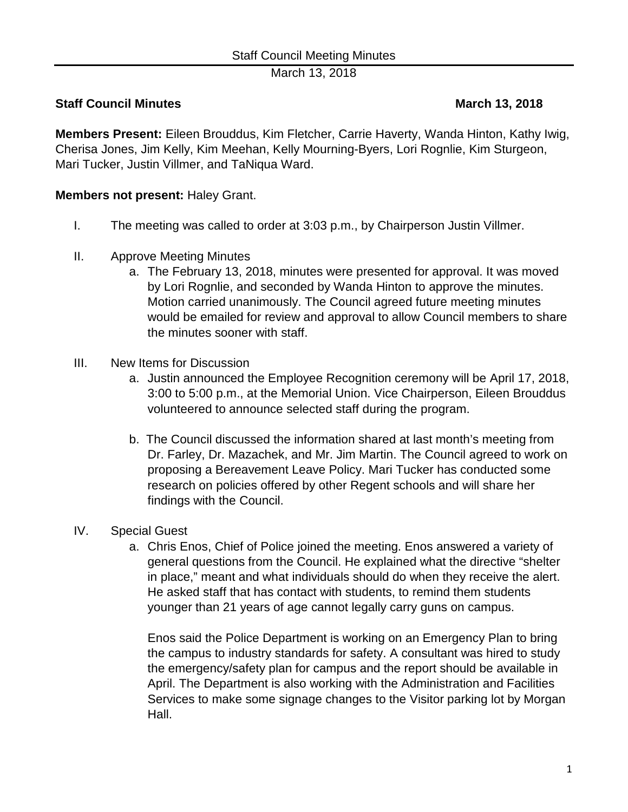March 13, 2018

## **Staff Council Minutes March 13, 2018**

**Members Present:** Eileen Brouddus, Kim Fletcher, Carrie Haverty, Wanda Hinton, Kathy Iwig, Cherisa Jones, Jim Kelly, Kim Meehan, Kelly Mourning-Byers, Lori Rognlie, Kim Sturgeon, Mari Tucker, Justin Villmer, and TaNiqua Ward.

## **Members not present:** Haley Grant.

- I. The meeting was called to order at 3:03 p.m., by Chairperson Justin Villmer.
- II. Approve Meeting Minutes
	- a. The February 13, 2018, minutes were presented for approval. It was moved by Lori Rognlie, and seconded by Wanda Hinton to approve the minutes. Motion carried unanimously. The Council agreed future meeting minutes would be emailed for review and approval to allow Council members to share the minutes sooner with staff.
- III. New Items for Discussion
	- a. Justin announced the Employee Recognition ceremony will be April 17, 2018, 3:00 to 5:00 p.m., at the Memorial Union. Vice Chairperson, Eileen Brouddus volunteered to announce selected staff during the program.
	- b. The Council discussed the information shared at last month's meeting from Dr. Farley, Dr. Mazachek, and Mr. Jim Martin. The Council agreed to work on proposing a Bereavement Leave Policy. Mari Tucker has conducted some research on policies offered by other Regent schools and will share her findings with the Council.
- IV. Special Guest
	- a. Chris Enos, Chief of Police joined the meeting. Enos answered a variety of general questions from the Council. He explained what the directive "shelter in place," meant and what individuals should do when they receive the alert. He asked staff that has contact with students, to remind them students younger than 21 years of age cannot legally carry guns on campus.

Enos said the Police Department is working on an Emergency Plan to bring the campus to industry standards for safety. A consultant was hired to study the emergency/safety plan for campus and the report should be available in April. The Department is also working with the Administration and Facilities Services to make some signage changes to the Visitor parking lot by Morgan Hall.